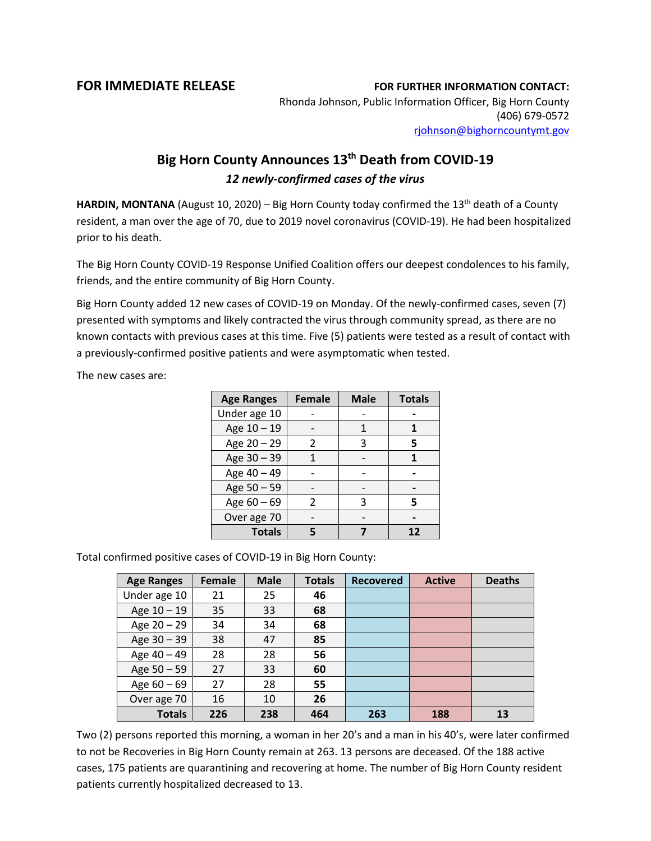## **FOR IMMEDIATE RELEASE FOR FURTHER INFORMATION CONTACT:**

Rhonda Johnson, Public Information Officer, Big Horn County (406) 679-0572 [rjohnson@bighorncountymt.gov](mailto:rjohnson@bighorncountymt.gov)

## **Big Horn County Announces 13th Death from COVID-19** *12 newly-confirmed cases of the virus*

HARDIN, MONTANA (August 10, 2020) – Big Horn County today confirmed the 13<sup>th</sup> death of a County resident, a man over the age of 70, due to 2019 novel coronavirus (COVID-19). He had been hospitalized prior to his death.

The Big Horn County COVID-19 Response Unified Coalition offers our deepest condolences to his family, friends, and the entire community of Big Horn County.

Big Horn County added 12 new cases of COVID-19 on Monday. Of the newly-confirmed cases, seven (7) presented with symptoms and likely contracted the virus through community spread, as there are no known contacts with previous cases at this time. Five (5) patients were tested as a result of contact with a previously-confirmed positive patients and were asymptomatic when tested.

The new cases are:

| <b>Age Ranges</b> | <b>Female</b> | <b>Male</b> | <b>Totals</b> |  |
|-------------------|---------------|-------------|---------------|--|
| Under age 10      |               |             |               |  |
| Age 10 - 19       |               |             |               |  |
| Age 20 - 29       | 2             | 3           | 5             |  |
| Age 30 - 39       |               |             |               |  |
| Age 40 - 49       |               |             |               |  |
| Age 50 - 59       |               |             |               |  |
| Age $60 - 69$     |               |             | 5             |  |
| Over age 70       |               |             |               |  |
| <b>Totals</b>     |               |             | 12            |  |

Total confirmed positive cases of COVID-19 in Big Horn County:

| <b>Age Ranges</b> | Female | <b>Male</b> | <b>Totals</b> | <b>Recovered</b> | <b>Active</b> | <b>Deaths</b> |
|-------------------|--------|-------------|---------------|------------------|---------------|---------------|
| Under age 10      | 21     | 25          | 46            |                  |               |               |
| Age 10 - 19       | 35     | 33          | 68            |                  |               |               |
| Age 20 - 29       | 34     | 34          | 68            |                  |               |               |
| Age 30 - 39       | 38     | 47          | 85            |                  |               |               |
| Age 40 - 49       | 28     | 28          | 56            |                  |               |               |
| Age 50 - 59       | 27     | 33          | 60            |                  |               |               |
| Age $60 - 69$     | 27     | 28          | 55            |                  |               |               |
| Over age 70       | 16     | 10          | 26            |                  |               |               |
| <b>Totals</b>     | 226    | 238         | 464           | 263              | 188           | 13            |

Two (2) persons reported this morning, a woman in her 20's and a man in his 40's, were later confirmed to not be Recoveries in Big Horn County remain at 263. 13 persons are deceased. Of the 188 active cases, 175 patients are quarantining and recovering at home. The number of Big Horn County resident patients currently hospitalized decreased to 13.